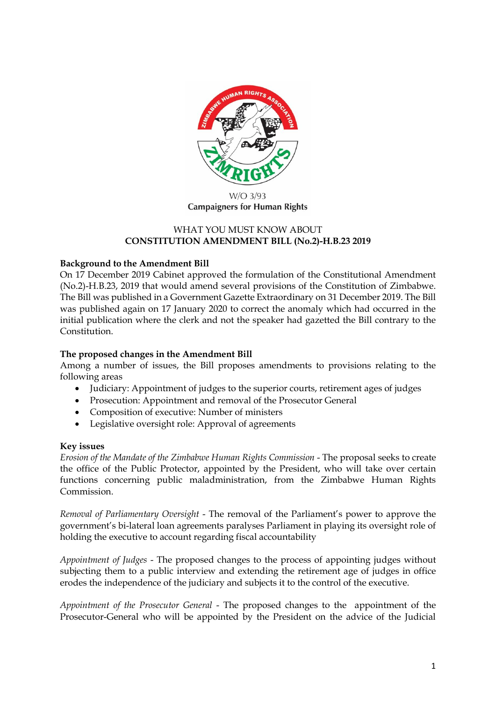

**Campaigners for Human Rights** 

### WHAT YOU MUST KNOW ABOUT **CONSTITUTION AMENDMENT BILL (No.2)-H.B.23 2019**

# **Background to the Amendment Bill**

On 17 December 2019 Cabinet approved the formulation of the Constitutional Amendment (No.2)-H.B.23, 2019 that would amend several provisions of the Constitution of Zimbabwe. The Bill was published in a Government Gazette Extraordinary on 31 December 2019. The Bill was published again on 17 January 2020 to correct the anomaly which had occurred in the initial publication where the clerk and not the speaker had gazetted the Bill contrary to the Constitution.

### **The proposed changes in the Amendment Bill**

Among a number of issues, the Bill proposes amendments to provisions relating to the following areas

- Judiciary: Appointment of judges to the superior courts, retirement ages of judges
- Prosecution: Appointment and removal of the Prosecutor General
- Composition of executive: Number of ministers
- Legislative oversight role: Approval of agreements

### **Key issues**

*Erosion of the Mandate of the Zimbabwe Human Rights Commission* - The proposal seeks to create the office of the Public Protector, appointed by the President, who will take over certain functions concerning public maladministration, from the Zimbabwe Human Rights Commission.

*Removal of Parliamentary Oversight* - The removal of the Parliament's power to approve the government's bi-lateral loan agreements paralyses Parliament in playing its oversight role of holding the executive to account regarding fiscal accountability

*Appointment of Judges* - The proposed changes to the process of appointing judges without subjecting them to a public interview and extending the retirement age of judges in office erodes the independence of the judiciary and subjects it to the control of the executive.

*Appointment of the Prosecutor General* - The proposed changes to the appointment of the Prosecutor-General who will be appointed by the President on the advice of the Judicial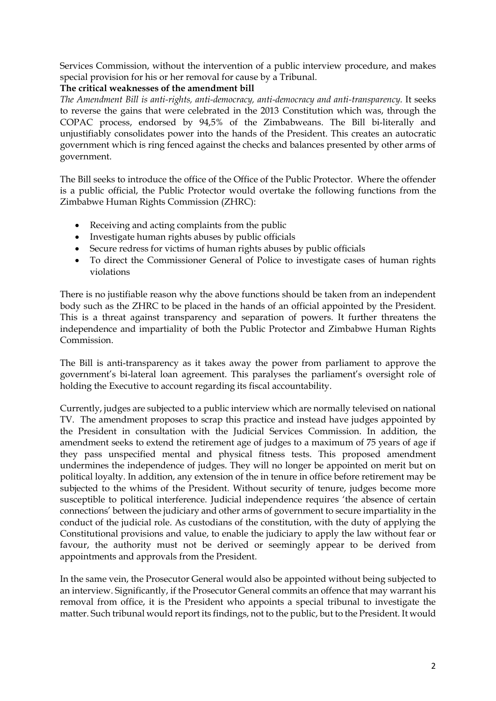Services Commission, without the intervention of a public interview procedure, and makes special provision for his or her removal for cause by a Tribunal.

## **The critical weaknesses of the amendment bill**

*The Amendment Bill is anti-rights, anti-democracy, anti-democracy and anti-transparency.* It seeks to reverse the gains that were celebrated in the 2013 Constitution which was, through the COPAC process, endorsed by 94,5% of the Zimbabweans. The Bill bi-literally and unjustifiably consolidates power into the hands of the President. This creates an autocratic government which is ring fenced against the checks and balances presented by other arms of government.

The Bill seeks to introduce the office of the Office of the Public Protector. Where the offender is a public official, the Public Protector would overtake the following functions from the Zimbabwe Human Rights Commission (ZHRC):

- Receiving and acting complaints from the public
- Investigate human rights abuses by public officials
- Secure redress for victims of human rights abuses by public officials
- To direct the Commissioner General of Police to investigate cases of human rights violations

There is no justifiable reason why the above functions should be taken from an independent body such as the ZHRC to be placed in the hands of an official appointed by the President. This is a threat against transparency and separation of powers. It further threatens the independence and impartiality of both the Public Protector and Zimbabwe Human Rights Commission.

The Bill is anti-transparency as it takes away the power from parliament to approve the government's bi-lateral loan agreement. This paralyses the parliament's oversight role of holding the Executive to account regarding its fiscal accountability.

Currently, judges are subjected to a public interview which are normally televised on national TV. The amendment proposes to scrap this practice and instead have judges appointed by the President in consultation with the Judicial Services Commission. In addition, the amendment seeks to extend the retirement age of judges to a maximum of 75 years of age if they pass unspecified mental and physical fitness tests. This proposed amendment undermines the independence of judges. They will no longer be appointed on merit but on political loyalty. In addition, any extension of the in tenure in office before retirement may be subjected to the whims of the President. Without security of tenure, judges become more susceptible to political interference. Judicial independence requires 'the absence of certain connections' between the judiciary and other arms of government to secure impartiality in the conduct of the judicial role. As custodians of the constitution, with the duty of applying the Constitutional provisions and value, to enable the judiciary to apply the law without fear or favour, the authority must not be derived or seemingly appear to be derived from appointments and approvals from the President.

In the same vein, the Prosecutor General would also be appointed without being subjected to an interview. Significantly, if the Prosecutor General commits an offence that may warrant his removal from office, it is the President who appoints a special tribunal to investigate the matter. Such tribunal would report its findings, not to the public, but to the President. It would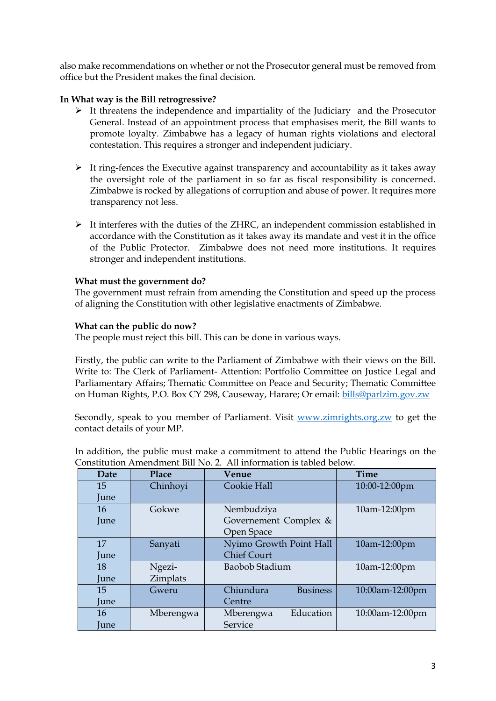also make recommendations on whether or not the Prosecutor general must be removed from office but the President makes the final decision.

## **In What way is the Bill retrogressive?**

- ➢ It threatens the independence and impartiality of the Judiciary and the Prosecutor General. Instead of an appointment process that emphasises merit, the Bill wants to promote loyalty. Zimbabwe has a legacy of human rights violations and electoral contestation. This requires a stronger and independent judiciary.
- $\triangleright$  It ring-fences the Executive against transparency and accountability as it takes away the oversight role of the parliament in so far as fiscal responsibility is concerned. Zimbabwe is rocked by allegations of corruption and abuse of power. It requires more transparency not less.
- ➢ It interferes with the duties of the ZHRC, an independent commission established in accordance with the Constitution as it takes away its mandate and vest it in the office of the Public Protector. Zimbabwe does not need more institutions. It requires stronger and independent institutions.

### **What must the government do?**

The government must refrain from amending the Constitution and speed up the process of aligning the Constitution with other legislative enactments of Zimbabwe.

### **What can the public do now?**

The people must reject this bill. This can be done in various ways.

Firstly, the public can write to the Parliament of Zimbabwe with their views on the Bill. Write to: The Clerk of Parliament- Attention: Portfolio Committee on Justice Legal and Parliamentary Affairs; Thematic Committee on Peace and Security; Thematic Committee on Human Rights, P.O. Box CY 298, Causeway, Harare; Or email: [bills@parlzim.gov.zw](mailto:bills@parlzim.gov.zw)

Secondly, speak to you member of Parliament. Visit [www.zimrights.org.zw](http://www.zimrights.org.zw/) to get the contact details of your MP.

In addition, the public must make a commitment to attend the Public Hearings on the Constitution Amendment Bill No. 2. All information is tabled below.

| <b>Date</b> | Place     | Venue                        | Time            |
|-------------|-----------|------------------------------|-----------------|
| 15          | Chinhoyi  | Cookie Hall                  | 10:00-12:00pm   |
| June        |           |                              |                 |
| 16          | Gokwe     | Nembudziya                   | 10am-12:00pm    |
| June        |           | Governement Complex &        |                 |
|             |           | Open Space                   |                 |
| 17          | Sanyati   | Nyimo Growth Point Hall      | 10am-12:00pm    |
| June        |           | <b>Chief Court</b>           |                 |
| 18          | Ngezi-    | Baobob Stadium               | 10am-12:00pm    |
| June        | Zimplats  |                              |                 |
| 15          | Gweru     | Chiundura<br><b>Business</b> | 10:00am-12:00pm |
| June        |           | Centre                       |                 |
| 16          | Mberengwa | Education<br>Mberengwa       | 10:00am-12:00pm |
| <b>June</b> |           | Service                      |                 |